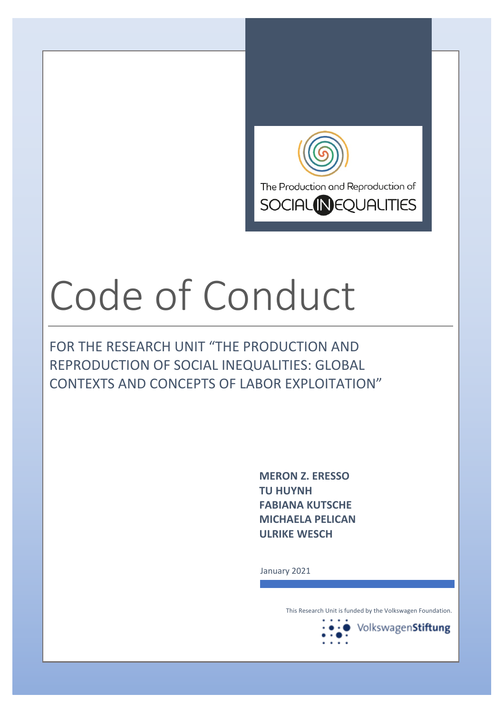

# Code of Conduct

FOR THE RESEARCH UNIT "THE PRODUCTION AND REPRODUCTION OF SOCIAL INEQUALITIES: GLOBAL CONTEXTS AND CONCEPTS OF LABOR EXPLOITATION"

> **MERON Z. ERESSO TU HUYNH FABIANA KUTSCHE MICHAELA PELICAN ULRIKE WESCH**

January 2021

This Research Unit is funded by the Volkswagen Foundation.

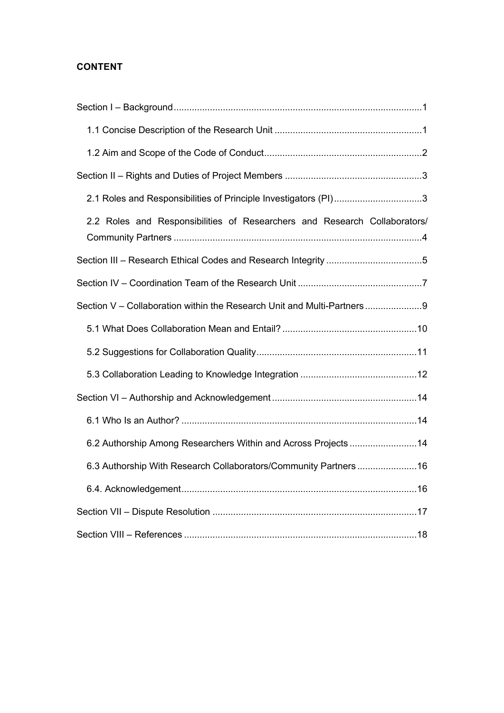# **CONTENT**

| 2.1 Roles and Responsibilities of Principle Investigators (PI)3           |
|---------------------------------------------------------------------------|
| 2.2 Roles and Responsibilities of Researchers and Research Collaborators/ |
|                                                                           |
|                                                                           |
| Section V - Collaboration within the Research Unit and Multi-Partners9    |
|                                                                           |
|                                                                           |
|                                                                           |
|                                                                           |
|                                                                           |
| 6.2 Authorship Among Researchers Within and Across Projects 14            |
| 6.3 Authorship With Research Collaborators/Community Partners16           |
|                                                                           |
|                                                                           |
|                                                                           |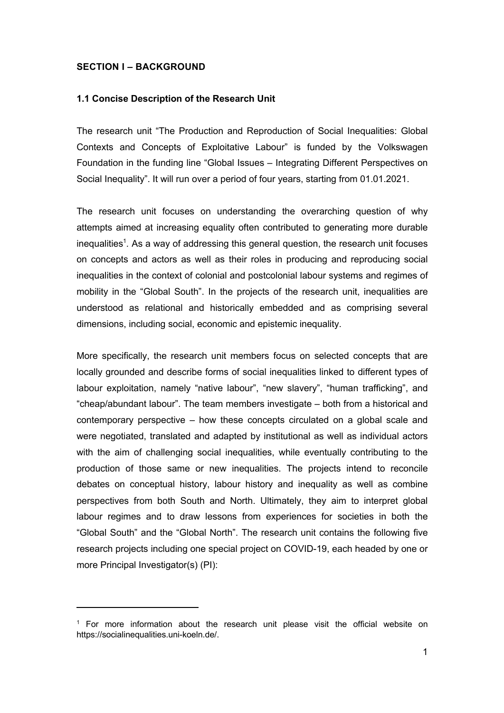#### **SECTION I – BACKGROUND**

#### **1.1 Concise Description of the Research Unit**

The research unit "The Production and Reproduction of Social Inequalities: Global Contexts and Concepts of Exploitative Labour" is funded by the Volkswagen Foundation in the funding line "Global Issues – Integrating Different Perspectives on Social Inequality". It will run over a period of four years, starting from 01.01.2021.

The research unit focuses on understanding the overarching question of why attempts aimed at increasing equality often contributed to generating more durable inequalities<sup>1</sup>. As a way of addressing this general question, the research unit focuses on concepts and actors as well as their roles in producing and reproducing social inequalities in the context of colonial and postcolonial labour systems and regimes of mobility in the "Global South". In the projects of the research unit, inequalities are understood as relational and historically embedded and as comprising several dimensions, including social, economic and epistemic inequality.

More specifically, the research unit members focus on selected concepts that are locally grounded and describe forms of social inequalities linked to different types of labour exploitation, namely "native labour", "new slavery", "human trafficking", and "cheap/abundant labour". The team members investigate – both from a historical and contemporary perspective – how these concepts circulated on a global scale and were negotiated, translated and adapted by institutional as well as individual actors with the aim of challenging social inequalities, while eventually contributing to the production of those same or new inequalities. The projects intend to reconcile debates on conceptual history, labour history and inequality as well as combine perspectives from both South and North. Ultimately, they aim to interpret global labour regimes and to draw lessons from experiences for societies in both the "Global South" and the "Global North". The research unit contains the following five research projects including one special project on COVID-19, each headed by one or more Principal Investigator(s) (PI):

 $1$  For more information about the research unit please visit the official website on https://socialinequalities.uni-koeln.de/.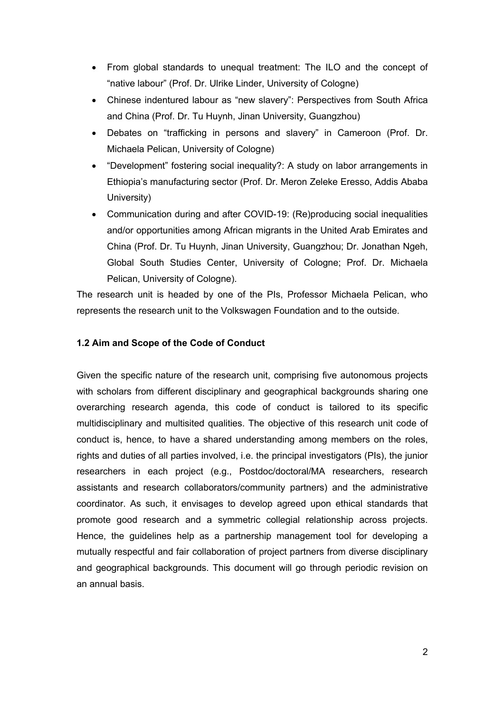- From global standards to unequal treatment: The ILO and the concept of "native labour" (Prof. Dr. Ulrike Linder, University of Cologne)
- Chinese indentured labour as "new slavery": Perspectives from South Africa and China (Prof. Dr. Tu Huynh, Jinan University, Guangzhou)
- Debates on "trafficking in persons and slavery" in Cameroon (Prof. Dr. Michaela Pelican, University of Cologne)
- "Development" fostering social inequality?: A study on labor arrangements in Ethiopia's manufacturing sector (Prof. Dr. Meron Zeleke Eresso, Addis Ababa University)
- Communication during and after COVID-19: (Re)producing social inequalities and/or opportunities among African migrants in the United Arab Emirates and China (Prof. Dr. Tu Huynh, Jinan University, Guangzhou; Dr. Jonathan Ngeh, Global South Studies Center, University of Cologne; Prof. Dr. Michaela Pelican, University of Cologne).

The research unit is headed by one of the PIs, Professor Michaela Pelican, who represents the research unit to the Volkswagen Foundation and to the outside.

# **1.2 Aim and Scope of the Code of Conduct**

Given the specific nature of the research unit, comprising five autonomous projects with scholars from different disciplinary and geographical backgrounds sharing one overarching research agenda, this code of conduct is tailored to its specific multidisciplinary and multisited qualities. The objective of this research unit code of conduct is, hence, to have a shared understanding among members on the roles, rights and duties of all parties involved, i.e. the principal investigators (PIs), the junior researchers in each project (e.g., Postdoc/doctoral/MA researchers, research assistants and research collaborators/community partners) and the administrative coordinator. As such, it envisages to develop agreed upon ethical standards that promote good research and a symmetric collegial relationship across projects. Hence, the guidelines help as a partnership management tool for developing a mutually respectful and fair collaboration of project partners from diverse disciplinary and geographical backgrounds. This document will go through periodic revision on an annual basis.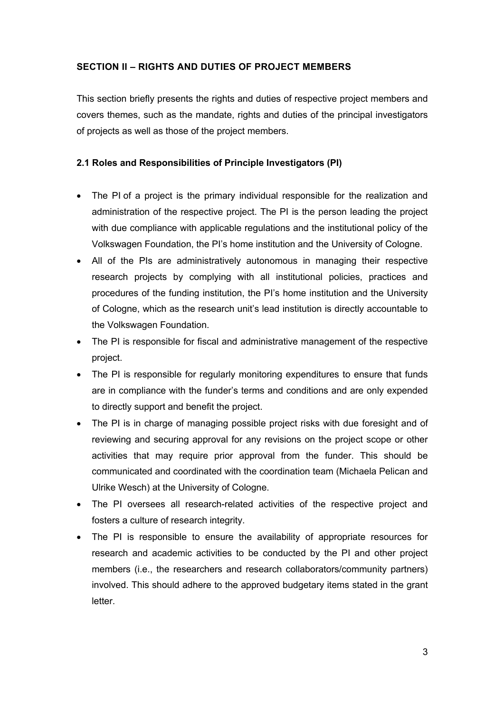## **SECTION II – RIGHTS AND DUTIES OF PROJECT MEMBERS**

This section briefly presents the rights and duties of respective project members and covers themes, such as the mandate, rights and duties of the principal investigators of projects as well as those of the project members.

# **2.1 Roles and Responsibilities of Principle Investigators (PI)**

- The PI of a project is the primary individual responsible for the realization and administration of the respective project. The PI is the person leading the project with due compliance with applicable regulations and the institutional policy of the Volkswagen Foundation, the PI's home institution and the University of Cologne.
- All of the PIs are administratively autonomous in managing their respective research projects by complying with all institutional policies, practices and procedures of the funding institution, the PI's home institution and the University of Cologne, which as the research unit's lead institution is directly accountable to the Volkswagen Foundation.
- The PI is responsible for fiscal and administrative management of the respective project.
- The PI is responsible for regularly monitoring expenditures to ensure that funds are in compliance with the funder's terms and conditions and are only expended to directly support and benefit the project.
- The PI is in charge of managing possible project risks with due foresight and of reviewing and securing approval for any revisions on the project scope or other activities that may require prior approval from the funder. This should be communicated and coordinated with the coordination team (Michaela Pelican and Ulrike Wesch) at the University of Cologne.
- The PI oversees all research-related activities of the respective project and fosters a culture of research integrity.
- The PI is responsible to ensure the availability of appropriate resources for research and academic activities to be conducted by the PI and other project members (i.e., the researchers and research collaborators/community partners) involved. This should adhere to the approved budgetary items stated in the grant letter.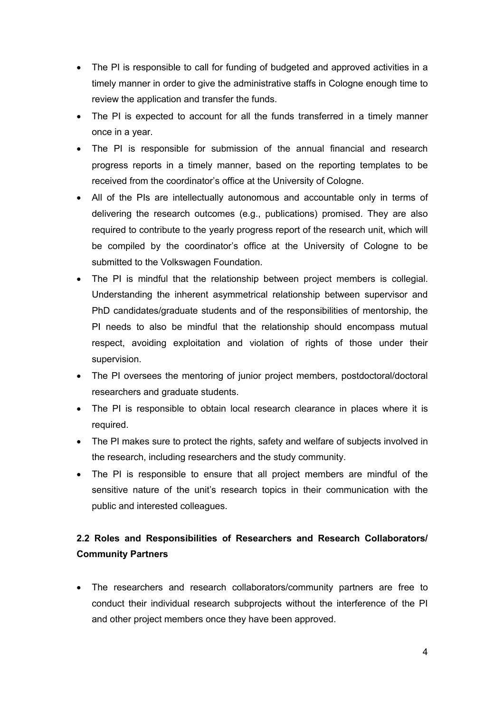- The PI is responsible to call for funding of budgeted and approved activities in a timely manner in order to give the administrative staffs in Cologne enough time to review the application and transfer the funds.
- The PI is expected to account for all the funds transferred in a timely manner once in a year.
- The PI is responsible for submission of the annual financial and research progress reports in a timely manner, based on the reporting templates to be received from the coordinator's office at the University of Cologne.
- All of the PIs are intellectually autonomous and accountable only in terms of delivering the research outcomes (e.g., publications) promised. They are also required to contribute to the yearly progress report of the research unit, which will be compiled by the coordinator's office at the University of Cologne to be submitted to the Volkswagen Foundation.
- The PI is mindful that the relationship between project members is collegial. Understanding the inherent asymmetrical relationship between supervisor and PhD candidates/graduate students and of the responsibilities of mentorship, the PI needs to also be mindful that the relationship should encompass mutual respect, avoiding exploitation and violation of rights of those under their supervision.
- The PI oversees the mentoring of junior project members, postdoctoral/doctoral researchers and graduate students.
- The PI is responsible to obtain local research clearance in places where it is required.
- The PI makes sure to protect the rights, safety and welfare of subjects involved in the research, including researchers and the study community.
- The PI is responsible to ensure that all project members are mindful of the sensitive nature of the unit's research topics in their communication with the public and interested colleagues.

# **2.2 Roles and Responsibilities of Researchers and Research Collaborators/ Community Partners**

• The researchers and research collaborators/community partners are free to conduct their individual research subprojects without the interference of the PI and other project members once they have been approved.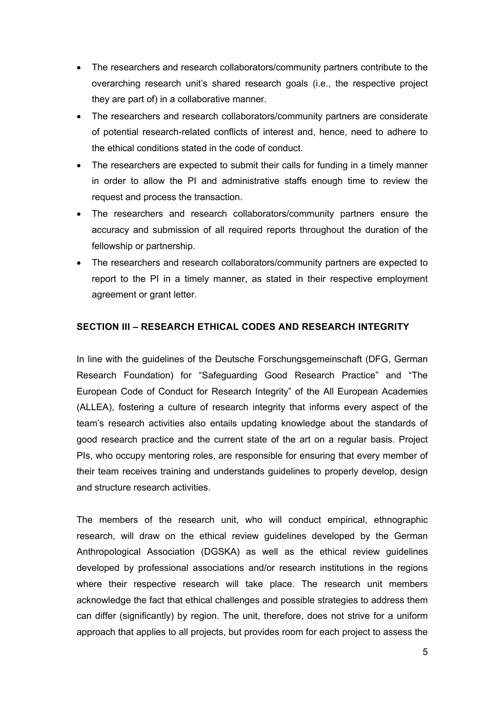- The researchers and research collaborators/community partners contribute to the overarching research unit's shared research goals (i.e., the respective project they are part of) in a collaborative manner.
- The researchers and research collaborators/community partners are considerate of potential research-related conflicts of interest and, hence, need to adhere to the ethical conditions stated in the code of conduct.
- The researchers are expected to submit their calls for funding in a timely manner in order to allow the PI and administrative staffs enough time to review the request and process the transaction.
- The researchers and research collaborators/community partners ensure the accuracy and submission of all required reports throughout the duration of the fellowship or partnership.
- The researchers and research collaborators/community partners are expected to report to the PI in a timely manner, as stated in their respective employment agreement or grant letter.

# **SECTION III – RESEARCH ETHICAL CODES AND RESEARCH INTEGRITY**

In line with the guidelines of the Deutsche Forschungsgemeinschaft (DFG, German Research Foundation) for "Safeguarding Good Research Practice" and "The European Code of Conduct for Research Integrity" of the All European Academies (ALLEA), fostering a culture of research integrity that informs every aspect of the team's research activities also entails updating knowledge about the standards of good research practice and the current state of the art on a regular basis. Project PIs, who occupy mentoring roles, are responsible for ensuring that every member of their team receives training and understands guidelines to properly develop, design and structure research activities.

The members of the research unit, who will conduct empirical, ethnographic research, will draw on the ethical review guidelines developed by the German Anthropological Association (DGSKA) as well as the ethical review guidelines developed by professional associations and/or research institutions in the regions where their respective research will take place. The research unit members acknowledge the fact that ethical challenges and possible strategies to address them can differ (significantly) by region. The unit, therefore, does not strive for a uniform approach that applies to all projects, but provides room for each project to assess the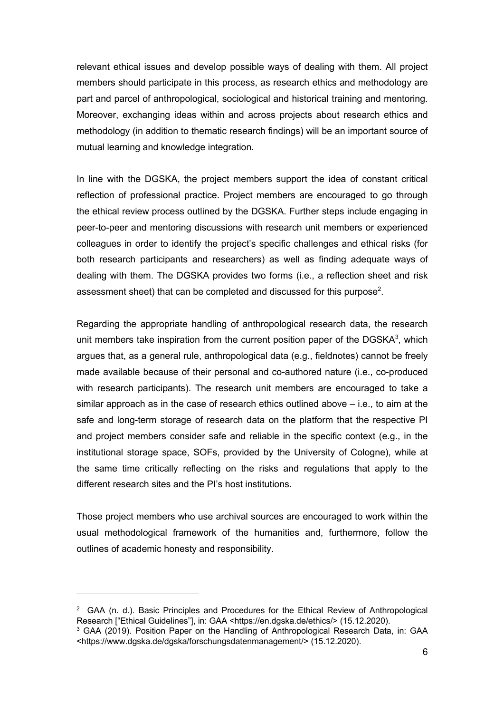relevant ethical issues and develop possible ways of dealing with them. All project members should participate in this process, as research ethics and methodology are part and parcel of anthropological, sociological and historical training and mentoring. Moreover, exchanging ideas within and across projects about research ethics and methodology (in addition to thematic research findings) will be an important source of mutual learning and knowledge integration.

In line with the DGSKA, the project members support the idea of constant critical reflection of professional practice. Project members are encouraged to go through the ethical review process outlined by the DGSKA. Further steps include engaging in peer-to-peer and mentoring discussions with research unit members or experienced colleagues in order to identify the project's specific challenges and ethical risks (for both research participants and researchers) as well as finding adequate ways of dealing with them. The DGSKA provides two forms (i.e., a reflection sheet and risk assessment sheet) that can be completed and discussed for this purpose<sup>2</sup>.

Regarding the appropriate handling of anthropological research data, the research unit members take inspiration from the current position paper of the DGSKA $3$ , which argues that, as a general rule, anthropological data (e.g., fieldnotes) cannot be freely made available because of their personal and co-authored nature (i.e., co-produced with research participants). The research unit members are encouraged to take a similar approach as in the case of research ethics outlined above – i.e., to aim at the safe and long-term storage of research data on the platform that the respective PI and project members consider safe and reliable in the specific context (e.g., in the institutional storage space, SOFs, provided by the University of Cologne), while at the same time critically reflecting on the risks and regulations that apply to the different research sites and the PI's host institutions.

Those project members who use archival sources are encouraged to work within the usual methodological framework of the humanities and, furthermore, follow the outlines of academic honesty and responsibility.

 $2$  GAA (n. d.). Basic Principles and Procedures for the Ethical Review of Anthropological Research ["Ethical Guidelines"], in: GAA <https://en.dgska.de/ethics/> (15.12.2020).

<sup>&</sup>lt;sup>3</sup> GAA (2019). Position Paper on the Handling of Anthropological Research Data, in: GAA <https://www.dgska.de/dgska/forschungsdatenmanagement/> (15.12.2020).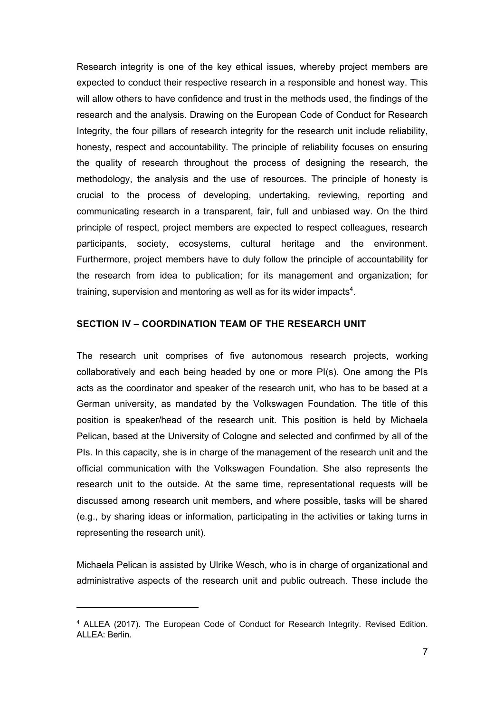Research integrity is one of the key ethical issues, whereby project members are expected to conduct their respective research in a responsible and honest way. This will allow others to have confidence and trust in the methods used, the findings of the research and the analysis. Drawing on the European Code of Conduct for Research Integrity, the four pillars of research integrity for the research unit include reliability, honesty, respect and accountability. The principle of reliability focuses on ensuring the quality of research throughout the process of designing the research, the methodology, the analysis and the use of resources. The principle of honesty is crucial to the process of developing, undertaking, reviewing, reporting and communicating research in a transparent, fair, full and unbiased way. On the third principle of respect, project members are expected to respect colleagues, research participants, society, ecosystems, cultural heritage and the environment. Furthermore, project members have to duly follow the principle of accountability for the research from idea to publication; for its management and organization; for training, supervision and mentoring as well as for its wider impacts $^4$ .

## **SECTION IV – COORDINATION TEAM OF THE RESEARCH UNIT**

The research unit comprises of five autonomous research projects, working collaboratively and each being headed by one or more PI(s). One among the PIs acts as the coordinator and speaker of the research unit, who has to be based at a German university, as mandated by the Volkswagen Foundation. The title of this position is speaker/head of the research unit. This position is held by Michaela Pelican, based at the University of Cologne and selected and confirmed by all of the PIs. In this capacity, she is in charge of the management of the research unit and the official communication with the Volkswagen Foundation. She also represents the research unit to the outside. At the same time, representational requests will be discussed among research unit members, and where possible, tasks will be shared (e.g., by sharing ideas or information, participating in the activities or taking turns in representing the research unit).

Michaela Pelican is assisted by Ulrike Wesch, who is in charge of organizational and administrative aspects of the research unit and public outreach. These include the

<sup>4</sup> ALLEA (2017). The European Code of Conduct for Research Integrity. Revised Edition. ALLEA: Berlin.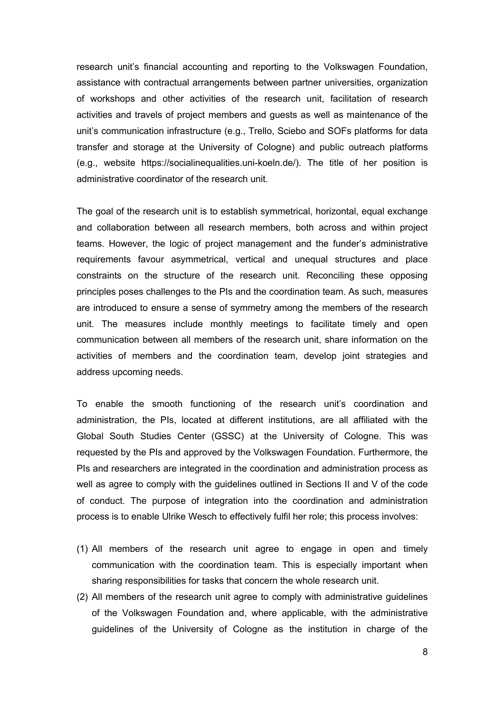research unit's financial accounting and reporting to the Volkswagen Foundation, assistance with contractual arrangements between partner universities, organization of workshops and other activities of the research unit, facilitation of research activities and travels of project members and guests as well as maintenance of the unit's communication infrastructure (e.g., Trello, Sciebo and SOFs platforms for data transfer and storage at the University of Cologne) and public outreach platforms (e.g., website https://socialinequalities.uni-koeln.de/). The title of her position is administrative coordinator of the research unit.

The goal of the research unit is to establish symmetrical, horizontal, equal exchange and collaboration between all research members, both across and within project teams. However, the logic of project management and the funder's administrative requirements favour asymmetrical, vertical and unequal structures and place constraints on the structure of the research unit. Reconciling these opposing principles poses challenges to the PIs and the coordination team. As such, measures are introduced to ensure a sense of symmetry among the members of the research unit. The measures include monthly meetings to facilitate timely and open communication between all members of the research unit, share information on the activities of members and the coordination team, develop joint strategies and address upcoming needs.

To enable the smooth functioning of the research unit's coordination and administration, the PIs, located at different institutions, are all affiliated with the Global South Studies Center (GSSC) at the University of Cologne. This was requested by the PIs and approved by the Volkswagen Foundation. Furthermore, the PIs and researchers are integrated in the coordination and administration process as well as agree to comply with the guidelines outlined in Sections II and V of the code of conduct. The purpose of integration into the coordination and administration process is to enable Ulrike Wesch to effectively fulfil her role; this process involves:

- (1) All members of the research unit agree to engage in open and timely communication with the coordination team. This is especially important when sharing responsibilities for tasks that concern the whole research unit.
- (2) All members of the research unit agree to comply with administrative guidelines of the Volkswagen Foundation and, where applicable, with the administrative guidelines of the University of Cologne as the institution in charge of the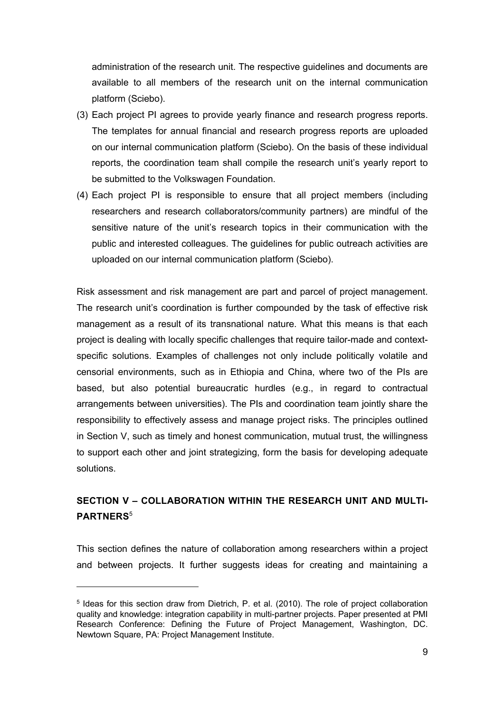administration of the research unit. The respective guidelines and documents are available to all members of the research unit on the internal communication platform (Sciebo).

- (3) Each project PI agrees to provide yearly finance and research progress reports. The templates for annual financial and research progress reports are uploaded on our internal communication platform (Sciebo). On the basis of these individual reports, the coordination team shall compile the research unit's yearly report to be submitted to the Volkswagen Foundation.
- (4) Each project PI is responsible to ensure that all project members (including researchers and research collaborators/community partners) are mindful of the sensitive nature of the unit's research topics in their communication with the public and interested colleagues. The guidelines for public outreach activities are uploaded on our internal communication platform (Sciebo).

Risk assessment and risk management are part and parcel of project management. The research unit's coordination is further compounded by the task of effective risk management as a result of its transnational nature. What this means is that each project is dealing with locally specific challenges that require tailor-made and contextspecific solutions. Examples of challenges not only include politically volatile and censorial environments, such as in Ethiopia and China, where two of the PIs are based, but also potential bureaucratic hurdles (e.g., in regard to contractual arrangements between universities). The PIs and coordination team jointly share the responsibility to effectively assess and manage project risks. The principles outlined in Section V, such as timely and honest communication, mutual trust, the willingness to support each other and joint strategizing, form the basis for developing adequate solutions.

# **SECTION V – COLLABORATION WITHIN THE RESEARCH UNIT AND MULTI-PARTNERS**<sup>5</sup>

This section defines the nature of collaboration among researchers within a project and between projects. It further suggests ideas for creating and maintaining a

<sup>5</sup> Ideas for this section draw from Dietrich, P. et al. (2010). The role of project collaboration quality and knowledge: integration capability in multi-partner projects. Paper presented at PMI Research Conference: Defining the Future of Project Management, Washington, DC. Newtown Square, PA: Project Management Institute.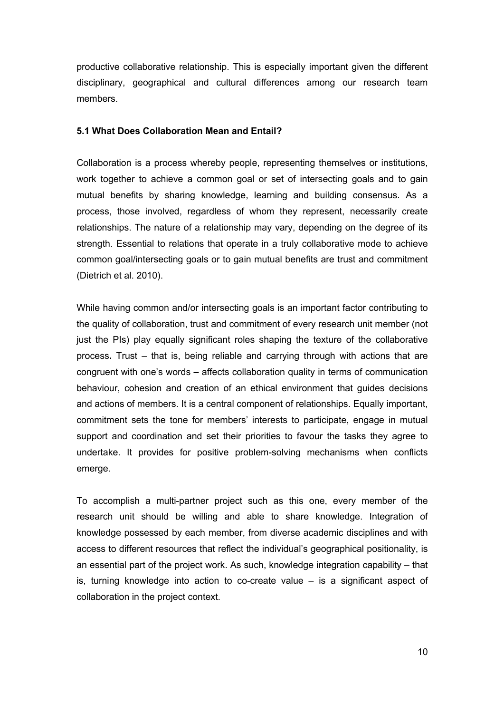productive collaborative relationship. This is especially important given the different disciplinary, geographical and cultural differences among our research team members.

#### **5.1 What Does Collaboration Mean and Entail?**

Collaboration is a process whereby people, representing themselves or institutions, work together to achieve a common goal or set of intersecting goals and to gain mutual benefits by sharing knowledge, learning and building consensus. As a process, those involved, regardless of whom they represent, necessarily create relationships. The nature of a relationship may vary, depending on the degree of its strength. Essential to relations that operate in a truly collaborative mode to achieve common goal/intersecting goals or to gain mutual benefits are trust and commitment (Dietrich et al. 2010).

While having common and/or intersecting goals is an important factor contributing to the quality of collaboration, trust and commitment of every research unit member (not just the PIs) play equally significant roles shaping the texture of the collaborative process**.** Trust – that is, being reliable and carrying through with actions that are congruent with one's words **–** affects collaboration quality in terms of communication behaviour, cohesion and creation of an ethical environment that guides decisions and actions of members. It is a central component of relationships. Equally important, commitment sets the tone for members' interests to participate, engage in mutual support and coordination and set their priorities to favour the tasks they agree to undertake. It provides for positive problem-solving mechanisms when conflicts emerge.

To accomplish a multi-partner project such as this one, every member of the research unit should be willing and able to share knowledge. Integration of knowledge possessed by each member, from diverse academic disciplines and with access to different resources that reflect the individual's geographical positionality, is an essential part of the project work. As such, knowledge integration capability – that is, turning knowledge into action to co-create value – is a significant aspect of collaboration in the project context.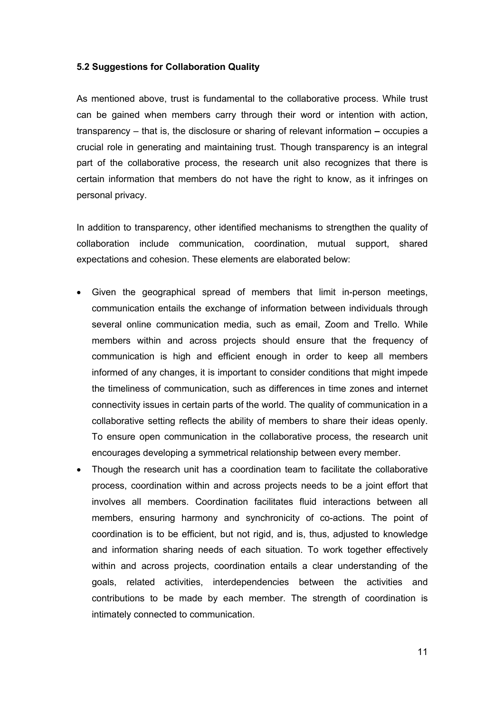#### **5.2 Suggestions for Collaboration Quality**

As mentioned above, trust is fundamental to the collaborative process. While trust can be gained when members carry through their word or intention with action, transparency – that is, the disclosure or sharing of relevant information **–** occupies a crucial role in generating and maintaining trust. Though transparency is an integral part of the collaborative process, the research unit also recognizes that there is certain information that members do not have the right to know, as it infringes on personal privacy.

In addition to transparency, other identified mechanisms to strengthen the quality of collaboration include communication, coordination, mutual support, shared expectations and cohesion. These elements are elaborated below:

- Given the geographical spread of members that limit in-person meetings, communication entails the exchange of information between individuals through several online communication media, such as email, Zoom and Trello. While members within and across projects should ensure that the frequency of communication is high and efficient enough in order to keep all members informed of any changes, it is important to consider conditions that might impede the timeliness of communication, such as differences in time zones and internet connectivity issues in certain parts of the world. The quality of communication in a collaborative setting reflects the ability of members to share their ideas openly. To ensure open communication in the collaborative process, the research unit encourages developing a symmetrical relationship between every member.
- Though the research unit has a coordination team to facilitate the collaborative process, coordination within and across projects needs to be a joint effort that involves all members. Coordination facilitates fluid interactions between all members, ensuring harmony and synchronicity of co-actions. The point of coordination is to be efficient, but not rigid, and is, thus, adjusted to knowledge and information sharing needs of each situation. To work together effectively within and across projects, coordination entails a clear understanding of the goals, related activities, interdependencies between the activities and contributions to be made by each member. The strength of coordination is intimately connected to communication.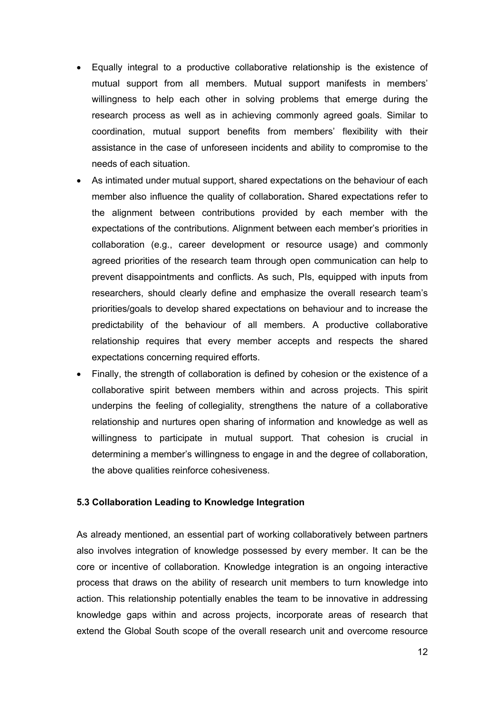- Equally integral to a productive collaborative relationship is the existence of mutual support from all members. Mutual support manifests in members' willingness to help each other in solving problems that emerge during the research process as well as in achieving commonly agreed goals. Similar to coordination, mutual support benefits from members' flexibility with their assistance in the case of unforeseen incidents and ability to compromise to the needs of each situation.
- As intimated under mutual support, shared expectations on the behaviour of each member also influence the quality of collaboration**.** Shared expectations refer to the alignment between contributions provided by each member with the expectations of the contributions. Alignment between each member's priorities in collaboration (e.g., career development or resource usage) and commonly agreed priorities of the research team through open communication can help to prevent disappointments and conflicts. As such, PIs, equipped with inputs from researchers, should clearly define and emphasize the overall research team's priorities/goals to develop shared expectations on behaviour and to increase the predictability of the behaviour of all members. A productive collaborative relationship requires that every member accepts and respects the shared expectations concerning required efforts.
- Finally, the strength of collaboration is defined by cohesion or the existence of a collaborative spirit between members within and across projects. This spirit underpins the feeling of collegiality, strengthens the nature of a collaborative relationship and nurtures open sharing of information and knowledge as well as willingness to participate in mutual support. That cohesion is crucial in determining a member's willingness to engage in and the degree of collaboration, the above qualities reinforce cohesiveness.

#### **5.3 Collaboration Leading to Knowledge Integration**

As already mentioned, an essential part of working collaboratively between partners also involves integration of knowledge possessed by every member. It can be the core or incentive of collaboration. Knowledge integration is an ongoing interactive process that draws on the ability of research unit members to turn knowledge into action. This relationship potentially enables the team to be innovative in addressing knowledge gaps within and across projects, incorporate areas of research that extend the Global South scope of the overall research unit and overcome resource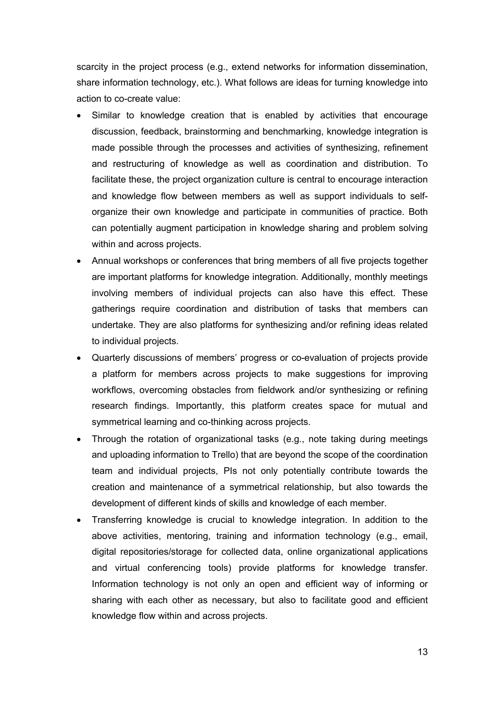scarcity in the project process (e.g., extend networks for information dissemination, share information technology, etc.). What follows are ideas for turning knowledge into action to co-create value:

- Similar to knowledge creation that is enabled by activities that encourage discussion, feedback, brainstorming and benchmarking, knowledge integration is made possible through the processes and activities of synthesizing, refinement and restructuring of knowledge as well as coordination and distribution. To facilitate these, the project organization culture is central to encourage interaction and knowledge flow between members as well as support individuals to selforganize their own knowledge and participate in communities of practice. Both can potentially augment participation in knowledge sharing and problem solving within and across projects.
- Annual workshops or conferences that bring members of all five projects together are important platforms for knowledge integration. Additionally, monthly meetings involving members of individual projects can also have this effect. These gatherings require coordination and distribution of tasks that members can undertake. They are also platforms for synthesizing and/or refining ideas related to individual projects.
- Quarterly discussions of members' progress or co-evaluation of projects provide a platform for members across projects to make suggestions for improving workflows, overcoming obstacles from fieldwork and/or synthesizing or refining research findings. Importantly, this platform creates space for mutual and symmetrical learning and co-thinking across projects.
- Through the rotation of organizational tasks (e.g., note taking during meetings and uploading information to Trello) that are beyond the scope of the coordination team and individual projects, PIs not only potentially contribute towards the creation and maintenance of a symmetrical relationship, but also towards the development of different kinds of skills and knowledge of each member.
- Transferring knowledge is crucial to knowledge integration. In addition to the above activities, mentoring, training and information technology (e.g., email, digital repositories/storage for collected data, online organizational applications and virtual conferencing tools) provide platforms for knowledge transfer. Information technology is not only an open and efficient way of informing or sharing with each other as necessary, but also to facilitate good and efficient knowledge flow within and across projects.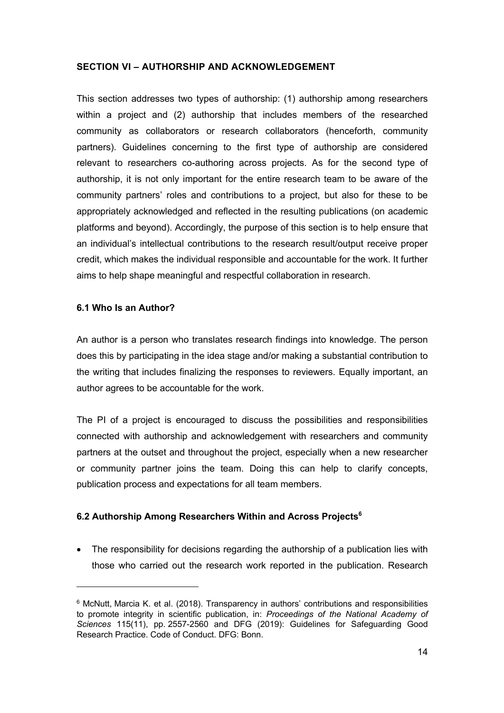#### **SECTION VI – AUTHORSHIP AND ACKNOWLEDGEMENT**

This section addresses two types of authorship: (1) authorship among researchers within a project and (2) authorship that includes members of the researched community as collaborators or research collaborators (henceforth, community partners). Guidelines concerning to the first type of authorship are considered relevant to researchers co-authoring across projects. As for the second type of authorship, it is not only important for the entire research team to be aware of the community partners' roles and contributions to a project, but also for these to be appropriately acknowledged and reflected in the resulting publications (on academic platforms and beyond). Accordingly, the purpose of this section is to help ensure that an individual's intellectual contributions to the research result/output receive proper credit, which makes the individual responsible and accountable for the work. It further aims to help shape meaningful and respectful collaboration in research.

#### **6.1 Who Is an Author?**

An author is a person who translates research findings into knowledge. The person does this by participating in the idea stage and/or making a substantial contribution to the writing that includes finalizing the responses to reviewers. Equally important, an author agrees to be accountable for the work.

The PI of a project is encouraged to discuss the possibilities and responsibilities connected with authorship and acknowledgement with researchers and community partners at the outset and throughout the project, especially when a new researcher or community partner joins the team. Doing this can help to clarify concepts, publication process and expectations for all team members.

### **6.2 Authorship Among Researchers Within and Across Projects6**

• The responsibility for decisions regarding the authorship of a publication lies with those who carried out the research work reported in the publication. Research

 $6$  McNutt, Marcia K. et al. (2018). Transparency in authors' contributions and responsibilities to promote integrity in scientific publication, in: *Proceedings of the National Academy of Sciences* 115(11), pp. 2557-2560 and DFG (2019): Guidelines for Safeguarding Good Research Practice. Code of Conduct. DFG: Bonn.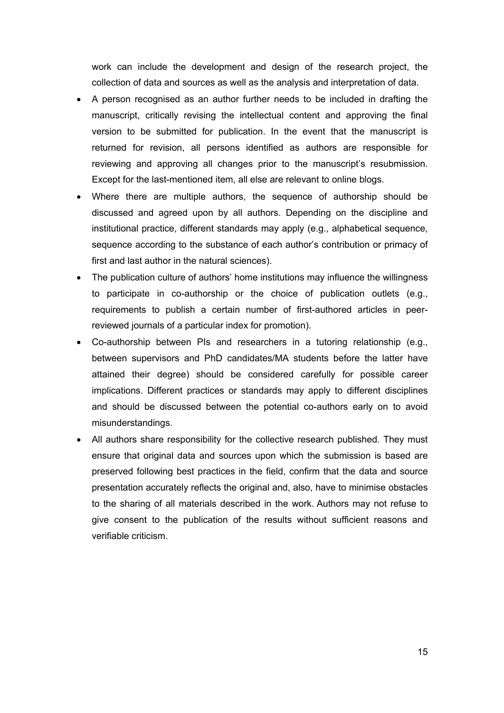work can include the development and design of the research project, the collection of data and sources as well as the analysis and interpretation of data.

- A person recognised as an author further needs to be included in drafting the manuscript, critically revising the intellectual content and approving the final version to be submitted for publication. In the event that the manuscript is returned for revision, all persons identified as authors are responsible for reviewing and approving all changes prior to the manuscript's resubmission. Except for the last-mentioned item, all else are relevant to online blogs.
- Where there are multiple authors, the sequence of authorship should be discussed and agreed upon by all authors. Depending on the discipline and institutional practice, different standards may apply (e.g., alphabetical sequence, sequence according to the substance of each author's contribution or primacy of first and last author in the natural sciences).
- The publication culture of authors' home institutions may influence the willingness to participate in co-authorship or the choice of publication outlets (e.g., requirements to publish a certain number of first-authored articles in peerreviewed journals of a particular index for promotion).
- Co-authorship between PIs and researchers in a tutoring relationship (e.g., between supervisors and PhD candidates/MA students before the latter have attained their degree) should be considered carefully for possible career implications. Different practices or standards may apply to different disciplines and should be discussed between the potential co-authors early on to avoid misunderstandings.
- All authors share responsibility for the collective research published. They must ensure that original data and sources upon which the submission is based are preserved following best practices in the field, confirm that the data and source presentation accurately reflects the original and, also, have to minimise obstacles to the sharing of all materials described in the work. Authors may not refuse to give consent to the publication of the results without sufficient reasons and verifiable criticism.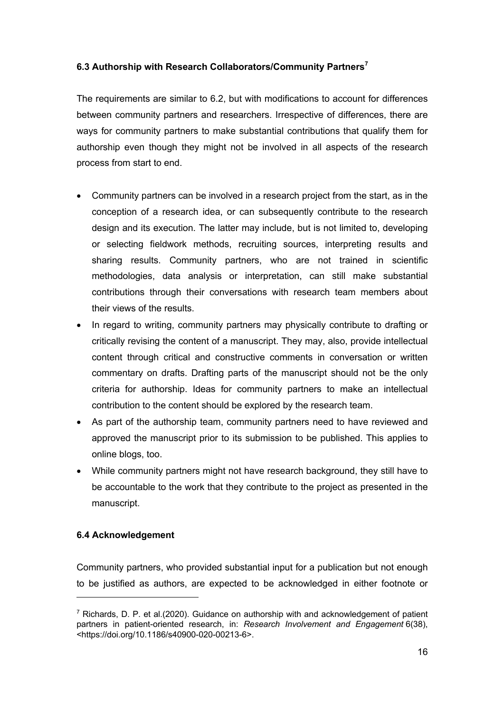# **6.3 Authorship with Research Collaborators/Community Partners<sup>7</sup>**

The requirements are similar to 6.2, but with modifications to account for differences between community partners and researchers. Irrespective of differences, there are ways for community partners to make substantial contributions that qualify them for authorship even though they might not be involved in all aspects of the research process from start to end.

- Community partners can be involved in a research project from the start, as in the conception of a research idea, or can subsequently contribute to the research design and its execution. The latter may include, but is not limited to, developing or selecting fieldwork methods, recruiting sources, interpreting results and sharing results. Community partners, who are not trained in scientific methodologies, data analysis or interpretation, can still make substantial contributions through their conversations with research team members about their views of the results.
- In regard to writing, community partners may physically contribute to drafting or critically revising the content of a manuscript. They may, also, provide intellectual content through critical and constructive comments in conversation or written commentary on drafts. Drafting parts of the manuscript should not be the only criteria for authorship. Ideas for community partners to make an intellectual contribution to the content should be explored by the research team.
- As part of the authorship team, community partners need to have reviewed and approved the manuscript prior to its submission to be published. This applies to online blogs, too.
- While community partners might not have research background, they still have to be accountable to the work that they contribute to the project as presented in the manuscript.

# **6.4 Acknowledgement**

Community partners, who provided substantial input for a publication but not enough to be justified as authors, are expected to be acknowledged in either footnote or

 $7$  Richards, D. P. et al.(2020). Guidance on authorship with and acknowledgement of patient partners in patient-oriented research, in: *Research Involvement and Engagement* 6(38), <https://doi.org/10.1186/s40900-020-00213-6>.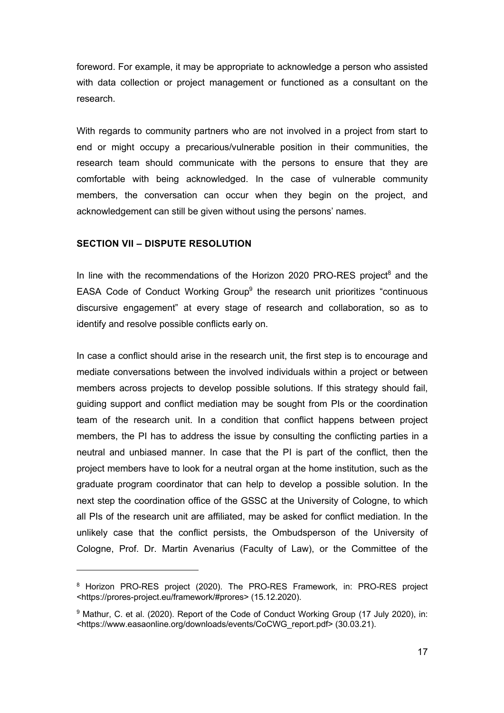foreword. For example, it may be appropriate to acknowledge a person who assisted with data collection or project management or functioned as a consultant on the research.

With regards to community partners who are not involved in a project from start to end or might occupy a precarious/vulnerable position in their communities, the research team should communicate with the persons to ensure that they are comfortable with being acknowledged. In the case of vulnerable community members, the conversation can occur when they begin on the project, and acknowledgement can still be given without using the persons' names.

#### **SECTION VII – DISPUTE RESOLUTION**

In line with the recommendations of the Horizon 2020 PRO-RES project<sup>8</sup> and the EASA Code of Conduct Working Group<sup>9</sup> the research unit prioritizes "continuous discursive engagement" at every stage of research and collaboration, so as to identify and resolve possible conflicts early on.

In case a conflict should arise in the research unit, the first step is to encourage and mediate conversations between the involved individuals within a project or between members across projects to develop possible solutions. If this strategy should fail, guiding support and conflict mediation may be sought from PIs or the coordination team of the research unit. In a condition that conflict happens between project members, the PI has to address the issue by consulting the conflicting parties in a neutral and unbiased manner. In case that the PI is part of the conflict, then the project members have to look for a neutral organ at the home institution, such as the graduate program coordinator that can help to develop a possible solution. In the next step the coordination office of the GSSC at the University of Cologne, to which all PIs of the research unit are affiliated, may be asked for conflict mediation. In the unlikely case that the conflict persists, the Ombudsperson of the University of Cologne, Prof. Dr. Martin Avenarius (Faculty of Law), or the Committee of the

<sup>8</sup> Horizon PRO-RES project (2020). The PRO-RES Framework, in: PRO-RES project <https://prores-project.eu/framework/#prores> (15.12.2020).

<sup>&</sup>lt;sup>9</sup> Mathur, C. et al. (2020). Report of the Code of Conduct Working Group (17 July 2020), in: <https://www.easaonline.org/downloads/events/CoCWG\_report.pdf> (30.03.21).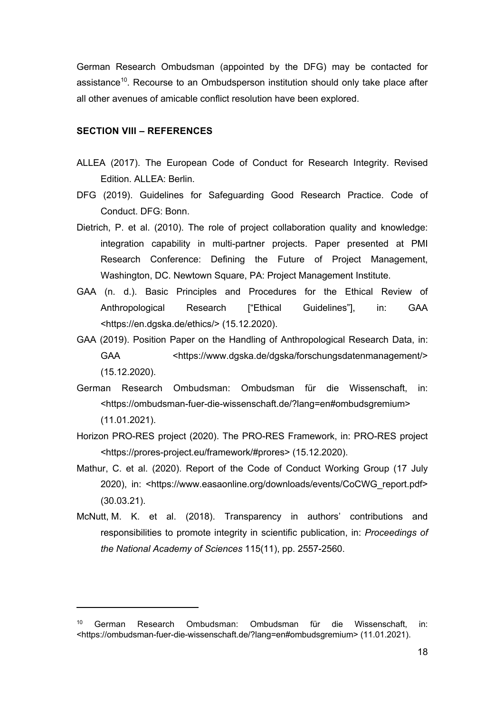German Research Ombudsman (appointed by the DFG) may be contacted for assistance<sup>10</sup>. Recourse to an Ombudsperson institution should only take place after all other avenues of amicable conflict resolution have been explored.

#### **SECTION VIII – REFERENCES**

- ALLEA (2017). The European Code of Conduct for Research Integrity. Revised Edition. ALLEA: Berlin.
- DFG (2019). Guidelines for Safeguarding Good Research Practice. Code of Conduct. DFG: Bonn.
- Dietrich, P. et al. (2010). The role of project collaboration quality and knowledge: integration capability in multi-partner projects. Paper presented at PMI Research Conference: Defining the Future of Project Management, Washington, DC. Newtown Square, PA: Project Management Institute.
- GAA (n. d.). Basic Principles and Procedures for the Ethical Review of Anthropological Research ["Ethical Guidelines"], in: GAA <https://en.dgska.de/ethics/> (15.12.2020).
- GAA (2019). Position Paper on the Handling of Anthropological Research Data, in: GAA <https://www.dgska.de/dgska/forschungsdatenmanagement/> (15.12.2020).
- German Research Ombudsman: Ombudsman für die Wissenschaft, in: <https://ombudsman-fuer-die-wissenschaft.de/?lang=en#ombudsgremium> (11.01.2021).
- Horizon PRO-RES project (2020). The PRO-RES Framework, in: PRO-RES project <https://prores-project.eu/framework/#prores> (15.12.2020).
- Mathur, C. et al. (2020). Report of the Code of Conduct Working Group (17 July 2020), in: <https://www.easaonline.org/downloads/events/CoCWG\_report.pdf> (30.03.21).
- McNutt, M. K. et al. (2018). Transparency in authors' contributions and responsibilities to promote integrity in scientific publication, in: *Proceedings of the National Academy of Sciences* 115(11), pp. 2557-2560.

<sup>10</sup> German Research Ombudsman: Ombudsman für die Wissenschaft, in: <https://ombudsman-fuer-die-wissenschaft.de/?lang=en#ombudsgremium> (11.01.2021).